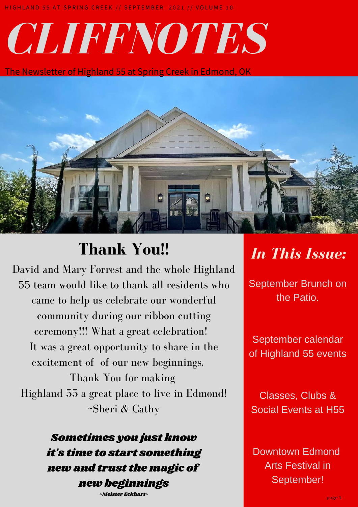# *CLIFFNOTES*

The Newsletter of Highland 55 at Spring Creek in Edmond, OK



# **Thank You** *In This Issue:* **!!**

David and Mary Forrest and the whole Highland 55 team would like to thank all residents who came to help us celebrate our wonderful community during our ribbon cutting ceremony!!! What a great celebration! It was a great opportunity to share in the excitement of of our new beginnings.

Thank You for making Highland 55 a great place to live in Edmond! ~Sheri & Cathy

> Sometimes you just know it's time to start something new and trust the magic of new beginnings

~Meister Eckhart~

*IN THIS ISSUE:* the Patio. September Brunch on

September calendar Succulent Party!! of Highland 55 events

Classes, Clubs & Social Events at H55

Downtown Edmond Arts Festival in September!

page 1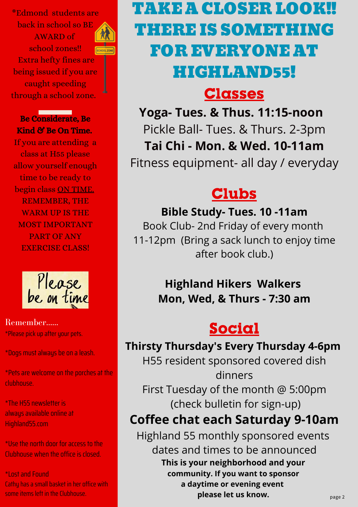\*Edmond students are back in school so BE AWARD of school zones!! Extra hefty fines are being issued if you are caught speeding through a school zone.

Be Considerate, Be Kind & Be On Time.

If you are attending a class at H55 please allow yourself enough time to be ready to begin class ON TIME. REMEMBER, THE WARM UP IS THE MOST IMPORTANT PART OF ANY EXERCISE CLASS!



#### Remember...... \*Please pick up after your pets.

\*Dogs must always be on a leash.

\*Pets are welcome on the porches at the clubhouse.

\*The H55 newsletter is always available online at Highland55.com

\*Use the north door for access to the Clubhouse when the office is closed.

\*Lost and Found

Cathy has a small basket in her office with

# TAKE A CLOSER LOOK!! THERE IS SOMETHING FOR EVERYONE AT HIGHLAND55!

## Classes

**Yoga- Tues. & Thus. 11:15-noon** Pickle Ball- Tues. & Thurs. 2-3pm **Tai Chi - Mon. & Wed. 10-11am** Fitness equipment- all day / everyday

# **Clubs**

#### **Bible Study- Tues. 10 -11am**

Book Club- 2nd Friday of every month 11-12pm (Bring a sack lunch to enjoy time after book club.)

### **Highland Hikers Walkers Mon, Wed, & Thurs - 7:30 am**

# Social

### **Thirsty Thursday's Every Thursday 4-6pm**

H55 resident sponsored covered dish dinners First Tuesday of the month @ 5:00pm (check bulletin for sign-up)

### **Coffee chat each Saturday 9-10am**

some items left in the Clubhouse. page <sup>2</sup> **please let us know.** Highland 55 monthly sponsored events dates and times to be announced **This is your neighborhood and your community. If you want to sponsor a daytime or evening event**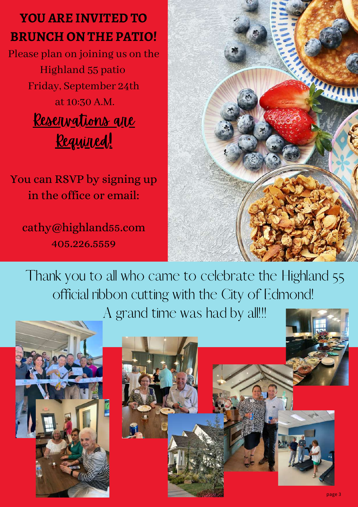# **YOU ARE INVITED TO BRUNCH ON THE PATIO!**

Please plan on joining us on the Highland 55 patio Friday, September 24th at 10:30 A.M. Reservations are <u>Required!</u>

You can RSVP by signing up in the office or email:

cathy@highland55.com 405.226.5559



Thank you to all who came to celebrate the Highland 55 official ribbon cutting with the City of Edmond! A grand time was had by all!!!